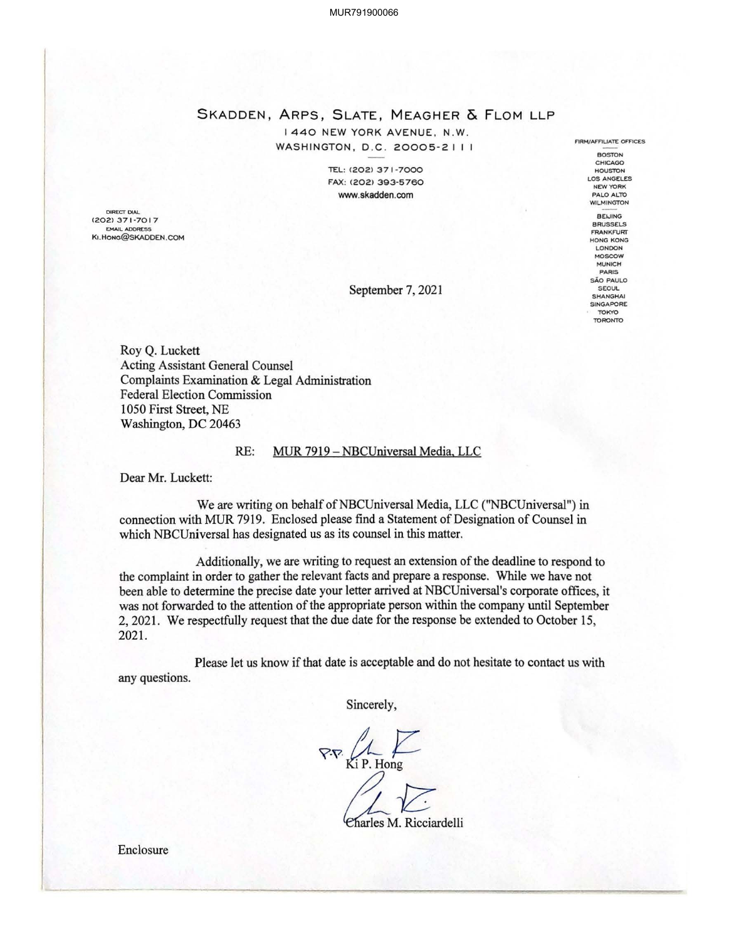## SKADDEN, ARPS, SLATE, MEAGHER & FLOM LLP

1440 NEW YORK AVENUE, N.W. WASHINGTON, D.C. 20005-2111

> TEL: (202> 37 1-7000 FAX: (202) 393-5760 www.skadden.com

**DIRECT DIAL** <202> 371-70 I 7 **EMAIL ADDRESS** K<sub>1</sub>.Hong@SKADDEN.COM

**BOSTON CHICAGO HOUSTON LOS ANGELES NEW YORK PALO ALTO WILMINGTON**  BEIJING **BRUSSELS** 

**FIRM/AFFILIATE OFFICES** 

**FRANKFURT HONG KONG LO NDON MOSCOW MUNICH**  PARIS **SAO PAULO SEOUL SHANGHAI SINGAPORE** TOKYO TORONTO

September 7, 2021

Roy Q. Luckett Acting Assistant General Counsel Complaints Examination & Legal Administration Federal Election Commission 1050 First Street, NE Washington, DC 20463

## RE: MUR 7919 - NBCUniversal Media, LLC

Dear Mr. Luckett:

We are writing on behalf of NBCUniversal Media, LLC ("NBCUniversal") in connection with MUR 7919. Enclosed please find a Statement of Designation of Counsel in which NBCUniversal has designated us as its counsel in this matter.

Additionally, we are writing to request an extension of the deadline to respond to the complaint in order to gather the relevant facts and prepare a response. While we have not been able to determine the precise date your letter arrived at NBCUniversal's corporate offices, it was not forwarded to the attention of the appropriate person within the company until September 2, 2021. We respectfully request that the due date for the response be extended to October 15, 2021.

Please let us know if that date is acceptable and do not hesitate to contact us with any questions.

Sincerely,

**P.P.**  $\overline{Ki}$  *P.* **Hong** 

**Charles M. Ricciardelli** 

Enclosure